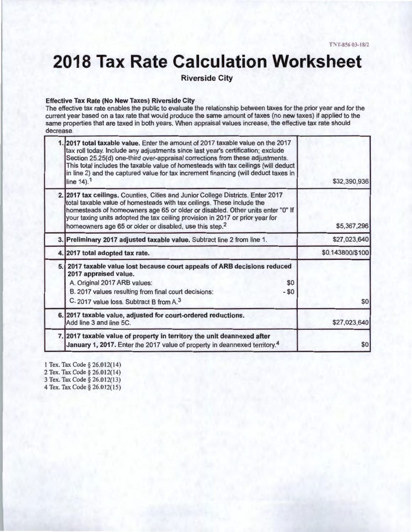# **2018 Tax Rate Calculation Worksheet**

**Riverside City** 

#### **Effective Tax Rate (No New Taxes) Riverside City**

The effective tax rate enables the public to evaluate the relationship between taxes for the prior year and for the current year based on a tax rate that would produce the same amount of taxes (no new taxes) if applied to the same properties that are taxed in both years. When appraisal values increase, the effective tax rate should decrease.

| 1. 2017 total taxable value. Enter the amount of 2017 taxable value on the 2017<br>tax roll today. Include any adjustments since last year's certification; exclude<br>Section 25.25(d) one-third over-appraisal corrections from these adjustments.<br>This total includes the taxable value of homesteads with tax ceilings (will deduct<br>in line 2) and the captured value for tax increment financing (will deduct taxes in<br>line $14$ ). <sup>1</sup> | \$32,390,936     |
|----------------------------------------------------------------------------------------------------------------------------------------------------------------------------------------------------------------------------------------------------------------------------------------------------------------------------------------------------------------------------------------------------------------------------------------------------------------|------------------|
| 2. 2017 tax ceilings. Counties, Cities and Junior College Districts. Enter 2017<br>total taxable value of homesteads with tax ceilings. These include the<br>homesteads of homeowners age 65 or older or disabled. Other units enter "0" If<br>your taxing units adopted the tax ceiling provision in 2017 or prior year for<br>homeowners age 65 or older or disabled, use this step. <sup>2</sup>                                                            | \$5,367,296      |
| 3. Preliminary 2017 adjusted taxable value. Subtract line 2 from line 1.                                                                                                                                                                                                                                                                                                                                                                                       | \$27,023,640     |
| 4. 2017 total adopted tax rate.                                                                                                                                                                                                                                                                                                                                                                                                                                | \$0.143800/\$100 |
| 5. 2017 taxable value lost because court appeals of ARB decisions reduced<br>2017 appraised value.<br>\$0<br>A. Original 2017 ARB values:<br>$- $0$<br>B. 2017 values resulting from final court decisions:<br>C. 2017 value loss. Subtract B from A. <sup>3</sup>                                                                                                                                                                                             | \$0              |
| 6. 2017 taxable value, adjusted for court-ordered reductions.<br>Add line 3 and line 5C.                                                                                                                                                                                                                                                                                                                                                                       | \$27,023,640     |
| 7. 2017 taxable value of property in territory the unit deannexed after<br>January 1, 2017. Enter the 2017 value of property in deannexed territory. <sup>4</sup>                                                                                                                                                                                                                                                                                              | \$0              |

1 Tex. Tax Code§ 26.012(14) 2 Tex. Tax Code§ 26.012(14) 3 Tex. Tax Code§ 26.012(13)

4 Tex. Tax Code§ 26.012(15)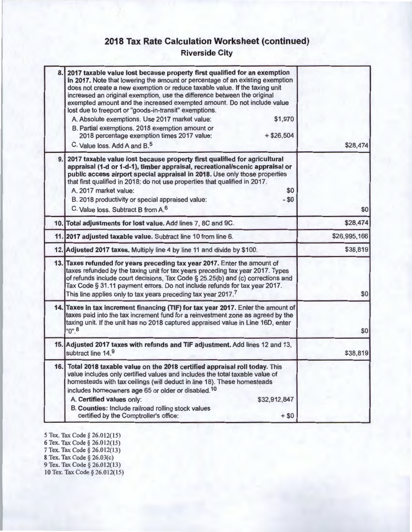# **2018 Tax Rate Calculation Worksheet (continued)**

**Riverside City** 

| 8.1 | 2017 taxable value lost because property first qualified for an exemption<br>in 2017. Note that lowering the amount or percentage of an existing exemption<br>does not create a new exemption or reduce taxable value. If the taxing unit<br>increased an original exemption, use the difference between the original<br>exempted amount and the increased exempted amount. Do not include value<br>lost due to freeport or "goods-in-transit" exemptions.<br>\$1,970<br>A. Absolute exemptions. Use 2017 market value:<br>B. Partial exemptions. 2018 exemption amount or<br>2018 percentage exemption times 2017 value:<br>$+ $26,504$<br>C. Value loss, Add A and B. <sup>5</sup> | \$28,474     |
|-----|--------------------------------------------------------------------------------------------------------------------------------------------------------------------------------------------------------------------------------------------------------------------------------------------------------------------------------------------------------------------------------------------------------------------------------------------------------------------------------------------------------------------------------------------------------------------------------------------------------------------------------------------------------------------------------------|--------------|
| 9.1 | 2017 taxable value lost because property first qualified for agricultural<br>appraisal (1-d or 1-d-1), timber appraisal, recreational/scenic appraisal or<br>public access airport special appraisal in 2018. Use only those properties<br>that first qualified in 2018; do not use properties that qualified in 2017.<br>A. 2017 market value:<br>\$0<br>$- $0$<br>B. 2018 productivity or special appraised value:<br>C. Value loss. Subtract B from A. <sup>6</sup>                                                                                                                                                                                                               | \$0          |
|     | 10. Total adjustments for lost value. Add lines 7, 8C and 9C.                                                                                                                                                                                                                                                                                                                                                                                                                                                                                                                                                                                                                        | \$28,474     |
|     | 11. 2017 adjusted taxable value. Subtract line 10 from line 6.                                                                                                                                                                                                                                                                                                                                                                                                                                                                                                                                                                                                                       | \$26,995,166 |
|     | 12. Adjusted 2017 taxes. Multiply line 4 by line 11 and divide by \$100.                                                                                                                                                                                                                                                                                                                                                                                                                                                                                                                                                                                                             | \$38,819     |
|     | 13. Taxes refunded for years preceding tax year 2017. Enter the amount of<br>taxes refunded by the taxing unit for tax years preceding tax year 2017. Types<br>of refunds include court decisions, Tax Code § 25.25(b) and (c) corrections and<br>Tax Code § 31.11 payment errors. Do not include refunds for tax year 2017.<br>This line applies only to tax years preceding tax year 2017.7                                                                                                                                                                                                                                                                                        | \$0          |
|     | 14. Taxes in tax increment financing (TIF) for tax year 2017. Enter the amount of<br>taxes paid into the tax increment fund for a reinvestment zone as agreed by the<br>taxing unit. If the unit has no 2018 captured appraised value in Line 16D, enter<br>$"0"$ <sup>8</sup>                                                                                                                                                                                                                                                                                                                                                                                                       | \$0          |
|     | 15. Adjusted 2017 taxes with refunds and TIF adjustment. Add lines 12 and 13,<br>subtract line 14.9                                                                                                                                                                                                                                                                                                                                                                                                                                                                                                                                                                                  | \$38,819     |
|     | 16. Total 2018 taxable value on the 2018 certified appraisal roll today. This<br>value includes only certified values and includes the total taxable value of<br>homesteads with tax ceilings (will deduct in line 18). These homesteads<br>includes homeowners age 65 or older or disabled. <sup>10</sup><br>A. Certified values only:<br>\$32,912,847<br>B. Counties: Include railroad rolling stock values<br>certified by the Comptroller's office:<br>$+ $0$                                                                                                                                                                                                                    |              |

*5* Tex. Tax Code§ 26.01 2(15) 6 Tex. Tax Code § 26.012(15) 7 Tex. Tax Code § 26.012(13) 8 Tex. Tax Code§ 26.03(c) 9 Tex. Tax Code § 26.012(13) 10 Tex. Tax Code § 26.012(15)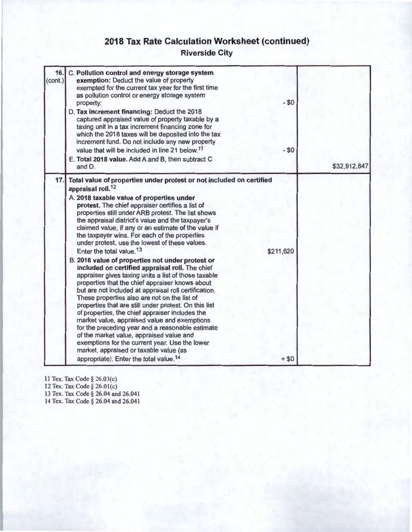# **2018 Tax Rate Calculation Worksheet (continued)**

### **Riverside City**

| 16.<br>(cont.) | C. Pollution control and energy storage system<br>exemption: Deduct the value of property<br>exempted for the current tax year for the first time<br>as pollution control or energy storage system<br>property:<br>D. Tax increment financing: Deduct the 2018<br>captured appraised value of property taxable by a<br>taxing unit in a tax increment financing zone for<br>which the 2018 taxes will be deposited into the tax<br>increment fund. Do not include any new property<br>value that will be included in line 21 below. <sup>11</sup><br>E. Total 2018 value. Add A and B, then subtract C<br>and D.                                                                                                                                                                                                                                                                                                                                                                                                                                                                                                                                                                                                                                              | $-$ \$0<br>$- $0$   | \$32,912,847 |
|----------------|---------------------------------------------------------------------------------------------------------------------------------------------------------------------------------------------------------------------------------------------------------------------------------------------------------------------------------------------------------------------------------------------------------------------------------------------------------------------------------------------------------------------------------------------------------------------------------------------------------------------------------------------------------------------------------------------------------------------------------------------------------------------------------------------------------------------------------------------------------------------------------------------------------------------------------------------------------------------------------------------------------------------------------------------------------------------------------------------------------------------------------------------------------------------------------------------------------------------------------------------------------------|---------------------|--------------|
| 17.            | Total value of properties under protest or not included on certified<br>appraisal roll. <sup>12</sup><br>A. 2018 taxable value of properties under<br>protest. The chief appraiser certifies a list of<br>properties still under ARB protest. The list shows<br>the appraisal district's value and the taxpayer's<br>claimed value, if any or an estimate of the value if<br>the taxpayer wins. For each of the properties<br>under protest, use the lowest of these values.<br>Enter the total value. <sup>13</sup><br>B. 2018 value of properties not under protest or<br>included on certified appraisal roll. The chief<br>appraiser gives taxing units a list of those taxable<br>properties that the chief appraiser knows about<br>but are not included at appraisal roll certification.<br>These properties also are not on the list of<br>properties that are still under protest. On this list<br>of properties, the chief appraiser includes the<br>market value, appraised value and exemptions<br>for the preceding year and a reasonable estimate<br>of the market value, appraised value and<br>exemptions for the current year. Use the lower<br>market, appraised or taxable value (as<br>appropriate). Enter the total value. <sup>14</sup> | \$211,620<br>$+ $0$ |              |

11 Tex. Tax Code§ 26.03(c) 12 Tex. Tax Code§ 26.0l(c) 13 Tex. Tax Code § 26.04 and 26.041 14 Tex. Tax Code§ 26.04 and 26.041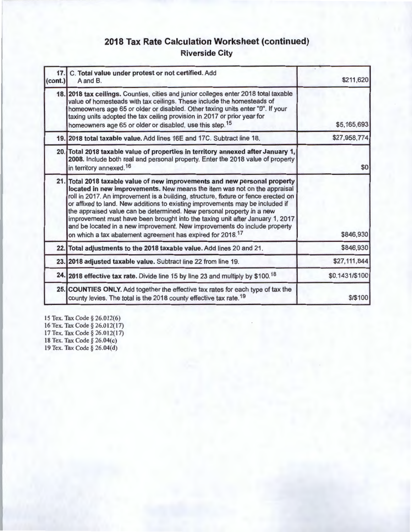## **2018 Tax Rate Calculation Worksheet (continued) Riverside City**

| (cont.) | 17. C. Total value under protest or not certified. Add<br>A and B.                                                                                                                                                                                                                                                                                                                                                                                                                                                                                                                                                                             | \$211,620      |
|---------|------------------------------------------------------------------------------------------------------------------------------------------------------------------------------------------------------------------------------------------------------------------------------------------------------------------------------------------------------------------------------------------------------------------------------------------------------------------------------------------------------------------------------------------------------------------------------------------------------------------------------------------------|----------------|
|         | 18. 2018 tax ceilings. Counties, cities and junior colleges enter 2018 total taxable<br>value of homesteads with tax ceilings. These include the homesteads of<br>homeowners age 65 or older or disabled. Other taxing units enter "0". If your<br>taxing units adopted the tax ceiling provision in 2017 or prior year for<br>homeowners age 65 or older or disabled, use this step. <sup>15</sup>                                                                                                                                                                                                                                            | \$5,165,693    |
|         | 19. 2018 total taxable value. Add lines 16E and 17C. Subtract line 18.                                                                                                                                                                                                                                                                                                                                                                                                                                                                                                                                                                         | \$27,958,774   |
|         | 20. Total 2018 taxable value of properties in territory annexed after January 1,<br>2008. Include both real and personal property. Enter the 2018 value of property<br>in territory annexed. <sup>16</sup>                                                                                                                                                                                                                                                                                                                                                                                                                                     | \$0            |
|         | 21. Total 2018 taxable value of new improvements and new personal property<br>located in new improvements. New means the item was not on the appraisal<br>roll in 2017. An improvement is a building, structure, fixture or fence erected on<br>or affixed to land. New additions to existing improvements may be included if<br>the appraised value can be determined. New personal property in a new<br>improvement must have been brought into the taxing unit after January 1, 2017<br>and be located in a new improvement. New improvements do include property<br>on which a tax abatement agreement has expired for 2018. <sup>17</sup> | \$846,930      |
|         | 22. Total adjustments to the 2018 taxable value. Add lines 20 and 21.                                                                                                                                                                                                                                                                                                                                                                                                                                                                                                                                                                          | \$846,930      |
|         | 23. 2018 adjusted taxable value. Subtract line 22 from line 19.                                                                                                                                                                                                                                                                                                                                                                                                                                                                                                                                                                                | \$27,111,844   |
|         | 24. 2018 effective tax rate. Divide line 15 by line 23 and multiply by \$100.18                                                                                                                                                                                                                                                                                                                                                                                                                                                                                                                                                                | \$0.1431/\$100 |
|         | 25. COUNTIES ONLY. Add together the effective tax rates for each type of tax the<br>county levies. The total is the 2018 county effective tax rate. <sup>19</sup>                                                                                                                                                                                                                                                                                                                                                                                                                                                                              | \$/\$100       |

15 Tex. Tax Code § 26.012(6) 16 Tex. Tax Code § 26.012(17) 17 Tex. Tax Code § 26.012(17) 18 Tex. Tax Code§ 26.04(c) 19 Tex. Tax Code§ 26.04(d)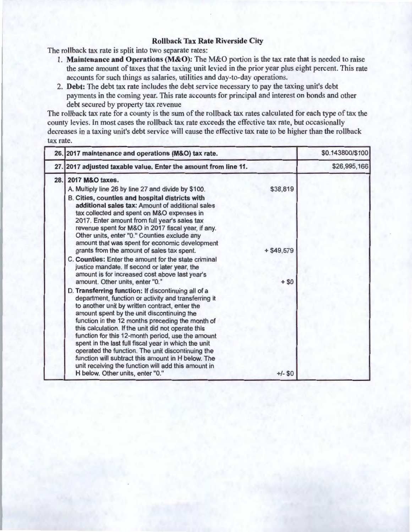#### **Rollback Tax Rate Riverside City**

The rollback tax rate is split into two separate rates:

- 1. **Maintenance and Operations (M&O):** The M&O portion is the tax rate that is needed to raise the same amount of taxes that the taxing unit levied in the prior year plus eight percent. This rate accounts for such things as salaries, utilities and day-to-day operations.
- 2. **Debt:** The debt tax rate includes the debt service necessary to pay the taxing unit's debt payments in the coming year. This rate accounts for principal and interest on bonds and other debt secured by property tax revenue

The rollback tax rate for a county is the sum of the rollback tax rates calculated for each type of tax the county levies. In most cases the rollback tax rate exceeds the effective tax rate, but occasionally decreases in a taxing unit's debt service will cause the effective tax rate to be higher than the rollback tax rate.

| 26. 2017 maintenance and operations (M&O) tax rate.                                                                                                                                                                                                                                                                                                                                                                                                                                                                                                                                                                                      |                       | \$0.143800/\$100 |
|------------------------------------------------------------------------------------------------------------------------------------------------------------------------------------------------------------------------------------------------------------------------------------------------------------------------------------------------------------------------------------------------------------------------------------------------------------------------------------------------------------------------------------------------------------------------------------------------------------------------------------------|-----------------------|------------------|
| 27. 2017 adjusted taxable value. Enter the amount from line 11.                                                                                                                                                                                                                                                                                                                                                                                                                                                                                                                                                                          |                       | \$26,995,166     |
| 28. 2017 M&O taxes.<br>A. Multiply line 26 by line 27 and divide by \$100.<br>B. Cities, counties and hospital districts with<br>additional sales tax: Amount of additional sales<br>tax collected and spent on M&O expenses in<br>2017. Enter amount from full year's sales tax<br>revenue spent for M&O in 2017 fiscal year, if any.<br>Other units, enter "0." Counties exclude any                                                                                                                                                                                                                                                   | \$38,819              |                  |
| amount that was spent for economic development<br>grants from the amount of sales tax spent.<br>C. Counties: Enter the amount for the state criminal<br>justice mandate. If second or later year, the<br>amount is for increased cost above last year's<br>amount. Other units, enter "0."                                                                                                                                                                                                                                                                                                                                               | $+ $49,579$<br>$+ $0$ |                  |
| D. Transferring function: If discontinuing all of a<br>department, function or activity and transferring it<br>to another unit by written contract, enter the<br>amount spent by the unit discontinuing the<br>function in the 12 months preceding the month of<br>this calculation. If the unit did not operate this<br>function for this 12-month period, use the amount<br>spent in the last full fiscal year in which the unit<br>operated the function. The unit discontinuing the<br>function will subtract this amount in H below. The<br>unit receiving the function will add this amount in<br>H below. Other units, enter "0." | $+/-$ \$0             |                  |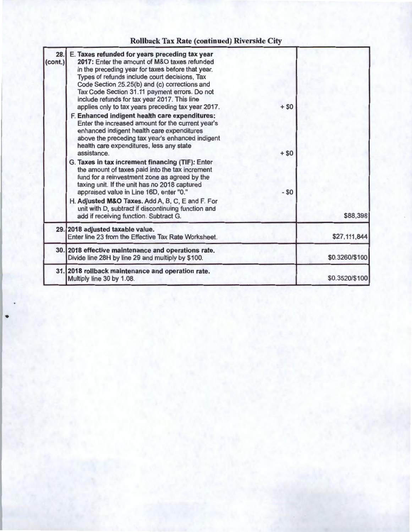# Rollback Tax Rate (continued) Riverside City

| 28.<br>(cont.) | E. Taxes refunded for years preceding tax year<br>2017: Enter the amount of M&O taxes refunded<br>in the preceding year for taxes before that year.<br>Types of refunds include court decisions, Tax<br>Code Section 25.25(b) and (c) corrections and<br>Tax Code Section 31.11 payment errors. Do not<br>include refunds for tax year 2017. This line      |                  |                |
|----------------|-------------------------------------------------------------------------------------------------------------------------------------------------------------------------------------------------------------------------------------------------------------------------------------------------------------------------------------------------------------|------------------|----------------|
|                | applies only to tax years preceding tax year 2017.<br>F. Enhanced indigent health care expenditures:<br>Enter the increased amount for the current year's<br>enhanced indigent health care expenditures<br>above the preceding tax year's enhanced indigent<br>health care expenditures, less any state<br>assistance                                       | $+ $0$<br>$+ $0$ |                |
|                | G. Taxes in tax increment financing (TIF): Enter<br>the amount of taxes paid into the tax increment<br>fund for a reinvestment zone as agreed by the<br>taxing unit. If the unit has no 2018 captured<br>appraised value in Line 16D, enter "0."<br>H. Adjusted M&O Taxes. Add A, B, C, E and F. For<br>unit with D, subtract if discontinuing function and | $- $0$           |                |
|                | add if receiving function. Subtract G.                                                                                                                                                                                                                                                                                                                      |                  | \$88,398       |
|                | 29. 2018 adjusted taxable value.<br>Enter line 23 from the Effective Tax Rate Worksheet.                                                                                                                                                                                                                                                                    |                  | \$27,111,844   |
|                | 30. 2018 effective maintenance and operations rate.<br>Divide line 28H by line 29 and multiply by \$100.                                                                                                                                                                                                                                                    |                  | \$0.3260/\$100 |
|                | 31. 2018 rollback maintenance and operation rate.<br>Multiply line 30 by 1.08.                                                                                                                                                                                                                                                                              |                  | \$0.3520/\$100 |

•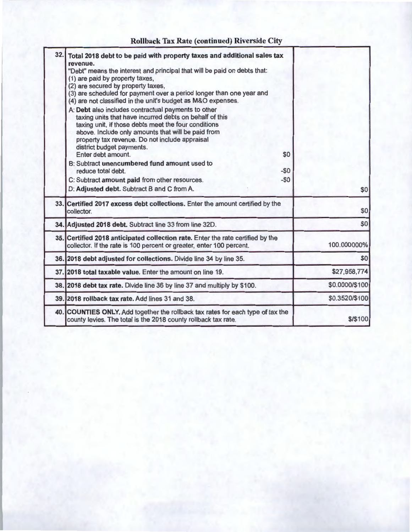## **Rollback Tax Rate (continued) Riverside City**

| 32.1 | Total 2018 debt to be paid with property taxes and additional sales tax<br>revenue.<br>"Debt" means the interest and principal that will be paid on debts that:<br>(1) are paid by property taxes,<br>(2) are secured by property taxes,<br>(3) are scheduled for payment over a period longer than one year and<br>(4) are not classified in the unit's budget as M&O expenses.<br>A: Debt also includes contractual payments to other<br>taxing units that have incurred debts on behalf of this<br>taxing unit, if those debts meet the four conditions<br>above. Include only amounts that will be paid from<br>property tax revenue. Do not include appraisal<br>district budget payments.<br>Enter debt amount.<br>B: Subtract unencumbered fund amount used to<br>reduce total debt. | \$0<br>$-50$ |                |
|------|---------------------------------------------------------------------------------------------------------------------------------------------------------------------------------------------------------------------------------------------------------------------------------------------------------------------------------------------------------------------------------------------------------------------------------------------------------------------------------------------------------------------------------------------------------------------------------------------------------------------------------------------------------------------------------------------------------------------------------------------------------------------------------------------|--------------|----------------|
|      | C: Subtract amount paid from other resources.<br>D: Adjusted debt. Subtract B and C from A.                                                                                                                                                                                                                                                                                                                                                                                                                                                                                                                                                                                                                                                                                                 | $-50$        | \$0            |
|      | 33. Certified 2017 excess debt collections. Enter the amount certified by the<br>collector.                                                                                                                                                                                                                                                                                                                                                                                                                                                                                                                                                                                                                                                                                                 |              | \$0            |
|      | 34. Adjusted 2018 debt. Subtract line 33 from line 32D.                                                                                                                                                                                                                                                                                                                                                                                                                                                                                                                                                                                                                                                                                                                                     |              | \$0            |
|      | 35. Certified 2018 anticipated collection rate. Enter the rate certified by the<br>collector. If the rate is 100 percent or greater, enter 100 percent.                                                                                                                                                                                                                                                                                                                                                                                                                                                                                                                                                                                                                                     |              | 100.000000%    |
|      | 36. 2018 debt adjusted for collections. Divide line 34 by line 35.                                                                                                                                                                                                                                                                                                                                                                                                                                                                                                                                                                                                                                                                                                                          |              | \$0            |
|      | 37. 2018 total taxable value. Enter the amount on line 19.                                                                                                                                                                                                                                                                                                                                                                                                                                                                                                                                                                                                                                                                                                                                  |              | \$27,958,774   |
|      | 38. 2018 debt tax rate. Divide line 36 by line 37 and multiply by \$100.                                                                                                                                                                                                                                                                                                                                                                                                                                                                                                                                                                                                                                                                                                                    |              | \$0.0000/\$100 |
|      | 39. 2018 rollback tax rate. Add lines 31 and 38.                                                                                                                                                                                                                                                                                                                                                                                                                                                                                                                                                                                                                                                                                                                                            |              | \$0.3520/\$100 |
|      | 40. COUNTIES ONLY. Add together the rollback tax rates for each type of tax the<br>county levies. The total is the 2018 county rollback tax rate.                                                                                                                                                                                                                                                                                                                                                                                                                                                                                                                                                                                                                                           |              | \$/\$100       |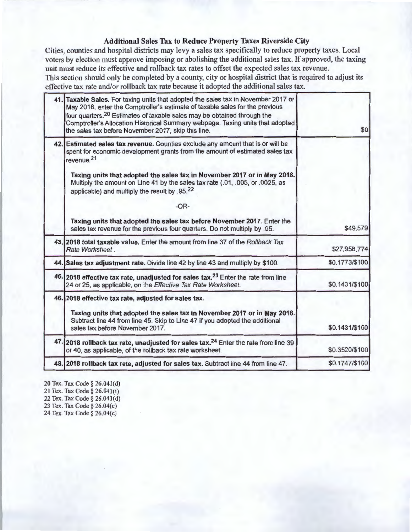#### **Additional Sales Tax to Reduce Property Taxes Riverside City**

Cities, counties and hospital districts may levy a sales tax specifically to reduce property taxes. Local voters by election must approve imposing or abolishing the additional sales tax. If approved, the taxing unit must reduce its effective and rollback tax rates to offset the expected sales tax revenue. This section should only be completed by a county, city or hospital district that is required to adjust its effective tax rate and/or rollback tax rate because it adopted the additional sales tax.

|                | 41. Taxable Sales. For taxing units that adopted the sales tax in November 2017 or<br>May 2018, enter the Comptroller's estimate of taxable sales for the previous<br>four quarters. <sup>20</sup> Estimates of taxable sales may be obtained through the                                                                                                                                                         |  |
|----------------|-------------------------------------------------------------------------------------------------------------------------------------------------------------------------------------------------------------------------------------------------------------------------------------------------------------------------------------------------------------------------------------------------------------------|--|
| \$0            | Comptroller's Allocation Historical Summary webpage. Taxing units that adopted<br>the sales tax before November 2017, skip this line.                                                                                                                                                                                                                                                                             |  |
|                | 42. Estimated sales tax revenue. Counties exclude any amount that is or will be<br>spent for economic development grants from the amount of estimated sales tax<br>revenue. <sup>21</sup><br>Taxing units that adopted the sales tax in November 2017 or in May 2018.<br>Multiply the amount on Line 41 by the sales tax rate (.01, .005, or .0025, as<br>applicable) and multiply the result by .95.22<br>$-OR-$ |  |
| \$49,579       | Taxing units that adopted the sales tax before November 2017. Enter the<br>sales tax revenue for the previous four quarters. Do not multiply by .95.                                                                                                                                                                                                                                                              |  |
| \$27,958,774   | 43. 2018 total taxable value. Enter the amount from line 37 of the Rollback Tax<br>Rate Worksheet.                                                                                                                                                                                                                                                                                                                |  |
| \$0.1773/\$100 | 44. Sales tax adjustment rate. Divide line 42 by line 43 and multiply by \$100.                                                                                                                                                                                                                                                                                                                                   |  |
| \$0.1431/\$100 | 45. 2018 effective tax rate, unadjusted for sales tax. <sup>23</sup> Enter the rate from line<br>24 or 25, as applicable, on the Effective Tax Rate Worksheet.                                                                                                                                                                                                                                                    |  |
| \$0.1431/\$100 | 46. 2018 effective tax rate, adjusted for sales tax.<br>Taxing units that adopted the sales tax in November 2017 or in May 2018.<br>Subtract line 44 from line 45. Skip to Line 47 if you adopted the additional<br>sales tax before November 2017.                                                                                                                                                               |  |
| \$0.3520/\$100 | 47. 2018 rollback tax rate, unadjusted for sales tax. <sup>24</sup> Enter the rate from line 39<br>or 40, as applicable, of the rollback tax rate worksheet.                                                                                                                                                                                                                                                      |  |
| \$0.1747/\$100 | 48. 2018 rollback tax rate, adjusted for sales tax. Subtract line 44 from line 47.                                                                                                                                                                                                                                                                                                                                |  |

20 Tex. Tax Code§ 26.04l(d) 21 Tex. Tax Code§ 26.04l(i) 22 Tex. Tax Code§ 26.04l(d) 23 Tex. Tax Code§ 26.04(c) 24 Tex. Tax Code§ 26.04(c)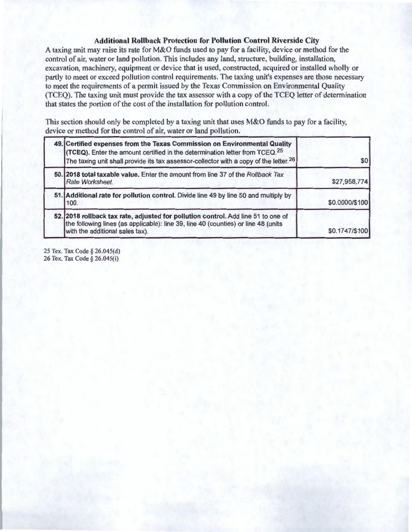#### **Additional Rollback Protection for Pollution Control Riverside City**

A taxing unit may raise its rate for M&O funds used to pay for a facility, device or method for the control of air, water or land pollution. This includes any land, structure, building, installation, excavation, machinery, equipment or device that is used, constructed, acquired or installed wholly or partly to meet or exceed pollution control requirements. The taxing unit's expenses are those necessary to meet the requirements of a permit issued by the Texas Commission on Environmental Quality (TCEQ). The taxing unit must provide the tax assessor with a copy of the TCEQ letter of determination that states the portion of the cost of the installation for pollution control.

This section should only be completed by a taxing unit that uses M&O funds to pay for a facility, device or method for the control of air, water or land pollution.

| 49. Certified expenses from the Texas Commission on Environmental Quality<br>(TCEQ). Enter the amount certified in the determination letter from TCEQ. <sup>25</sup><br>The taxing unit shall provide its tax assessor-collector with a copy of the letter. <sup>26</sup> | \$0            |
|---------------------------------------------------------------------------------------------------------------------------------------------------------------------------------------------------------------------------------------------------------------------------|----------------|
| 50. 2018 total taxable value. Enter the amount from line 37 of the Rollback Tax<br>Rate Worksheet.                                                                                                                                                                        | \$27,958,774   |
| 51. Additional rate for pollution control. Divide line 49 by line 50 and multiply by<br>100.                                                                                                                                                                              | \$0.0000/\$100 |
| 52. 2018 rollback tax rate, adjusted for pollution control. Add line 51 to one of<br>the following lines (as applicable): line 39, line 40 (counties) or line 48 (units<br>with the additional sales tax).                                                                | \$0.1747/\$100 |

25 Tex. Tax Code§ 26.045(d) 26 Tex. Tax Code § 26.045(i)